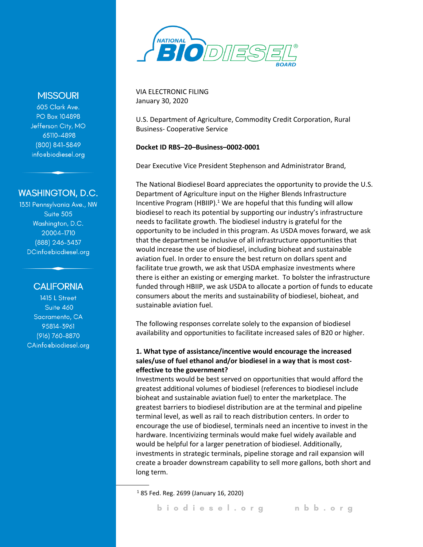

VIA ELECTRONIC FILING January 30, 2020

U.S. Department of Agriculture, Commodity Credit Corporation, Rural Business- Cooperative Service

#### **Docket ID RBS–20–Business–0002-0001**

Dear Executive Vice President Stephenson and Administrator Brand,

The National Biodiesel Board appreciates the opportunity to provide the U.S. Department of Agriculture input on the Higher Blends Infrastructure Incentive Program (HBIIP). $1$  We are hopeful that this funding will allow biodiesel to reach its potential by supporting our industry's infrastructure needs to facilitate growth. The biodiesel industry is grateful for the opportunity to be included in this program. As USDA moves forward, we ask that the department be inclusive of all infrastructure opportunities that would increase the use of biodiesel, including bioheat and sustainable aviation fuel. In order to ensure the best return on dollars spent and facilitate true growth, we ask that USDA emphasize investments where there is either an existing or emerging market. To bolster the infrastructure funded through HBIIP, we ask USDA to allocate a portion of funds to educate consumers about the merits and sustainability of biodiesel, bioheat, and sustainable aviation fuel.

The following responses correlate solely to the expansion of biodiesel availability and opportunities to facilitate increased sales of B20 or higher.

#### **1. What type of assistance/incentive would encourage the increased sales/use of fuel ethanol and/or biodiesel in a way that is most costeffective to the government?**

Investments would be best served on opportunities that would afford the greatest additional volumes of biodiesel (references to biodiesel include bioheat and sustainable aviation fuel) to enter the marketplace. The greatest barriers to biodiesel distribution are at the terminal and pipeline terminal level, as well as rail to reach distribution centers. In order to encourage the use of biodiesel, terminals need an incentive to invest in the hardware. Incentivizing terminals would make fuel widely available and would be helpful for a larger penetration of biodiesel. Additionally, investments in strategic terminals, pipeline storage and rail expansion will create a broader downstream capability to sell more gallons, both short and long term.

<sup>1</sup> 85 Fed. Reg. 2699 (January 16, 2020)

## **MISSOURI**

605 Clark Ave. PO Box 104898 Jefferson City, MO 65110-4898 (800) 841-5849 info@biodiesel.org

# **WASHINGTON, D.C.**

1331 Pennsylvania Ave., NW Suite 505 Washington, D.C. 20004-1710 (888) 246-3437 DCinfo@biodiesel.org

### **CALIFORNIA**

1415 L Street Suite 460 Sacramento, CA 95814-3961 (916) 760-8870 CAinfocbiodiesel.org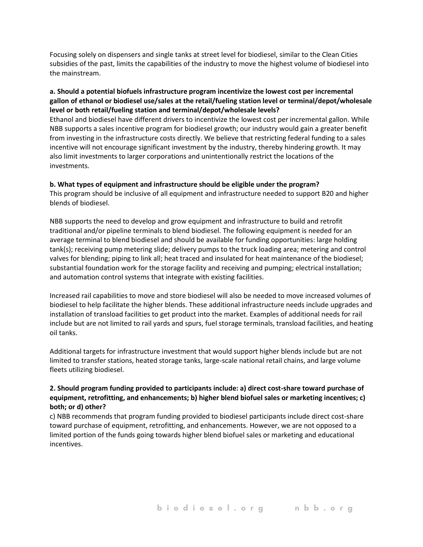Focusing solely on dispensers and single tanks at street level for biodiesel, similar to the Clean Cities subsidies of the past, limits the capabilities of the industry to move the highest volume of biodiesel into the mainstream.

#### **a. Should a potential biofuels infrastructure program incentivize the lowest cost per incremental gallon of ethanol or biodiesel use/sales at the retail/fueling station level or terminal/depot/wholesale level or both retail/fueling station and terminal/depot/wholesale levels?**

Ethanol and biodiesel have different drivers to incentivize the lowest cost per incremental gallon. While NBB supports a sales incentive program for biodiesel growth; our industry would gain a greater benefit from investing in the infrastructure costs directly. We believe that restricting federal funding to a sales incentive will not encourage significant investment by the industry, thereby hindering growth. It may also limit investments to larger corporations and unintentionally restrict the locations of the investments.

#### **b. What types of equipment and infrastructure should be eligible under the program?**

This program should be inclusive of all equipment and infrastructure needed to support B20 and higher blends of biodiesel.

NBB supports the need to develop and grow equipment and infrastructure to build and retrofit traditional and/or pipeline terminals to blend biodiesel. The following equipment is needed for an average terminal to blend biodiesel and should be available for funding opportunities: large holding tank(s); receiving pump metering slide; delivery pumps to the truck loading area; metering and control valves for blending; piping to link all; heat traced and insulated for heat maintenance of the biodiesel; substantial foundation work for the storage facility and receiving and pumping; electrical installation; and automation control systems that integrate with existing facilities.

Increased rail capabilities to move and store biodiesel will also be needed to move increased volumes of biodiesel to help facilitate the higher blends. These additional infrastructure needs include upgrades and installation of transload facilities to get product into the market. Examples of additional needs for rail include but are not limited to rail yards and spurs, fuel storage terminals, transload facilities, and heating oil tanks.

Additional targets for infrastructure investment that would support higher blends include but are not limited to transfer stations, heated storage tanks, large-scale national retail chains, and large volume fleets utilizing biodiesel.

### **2. Should program funding provided to participants include: a) direct cost-share toward purchase of equipment, retrofitting, and enhancements; b) higher blend biofuel sales or marketing incentives; c) both; or d) other?**

c) NBB recommends that program funding provided to biodiesel participants include direct cost-share toward purchase of equipment, retrofitting, and enhancements. However, we are not opposed to a limited portion of the funds going towards higher blend biofuel sales or marketing and educational incentives.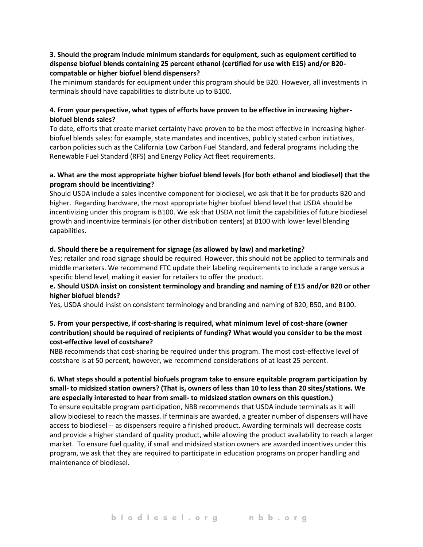#### **3. Should the program include minimum standards for equipment, such as equipment certified to dispense biofuel blends containing 25 percent ethanol (certified for use with E15) and/or B20 compatable or higher biofuel blend dispensers?**

The minimum standards for equipment under this program should be B20. However, all investments in terminals should have capabilities to distribute up to B100.

#### **4. From your perspective, what types of efforts have proven to be effective in increasing higherbiofuel blends sales?**

To date, efforts that create market certainty have proven to be the most effective in increasing higherbiofuel blends sales: for example, state mandates and incentives, publicly stated carbon initiatives, carbon policies such as the California Low Carbon Fuel Standard, and federal programs including the Renewable Fuel Standard (RFS) and Energy Policy Act fleet requirements.

#### **a. What are the most appropriate higher biofuel blend levels (for both ethanol and biodiesel) that the program should be incentivizing?**

Should USDA include a sales incentive component for biodiesel, we ask that it be for products B20 and higher. Regarding hardware, the most appropriate higher biofuel blend level that USDA should be incentivizing under this program is B100. We ask that USDA not limit the capabilities of future biodiesel growth and incentivize terminals (or other distribution centers) at B100 with lower level blending capabilities.

#### **d. Should there be a requirement for signage (as allowed by law) and marketing?**

Yes; retailer and road signage should be required. However, this should not be applied to terminals and middle marketers. We recommend FTC update their labeling requirements to include a range versus a specific blend level, making it easier for retailers to offer the product.

#### **e. Should USDA insist on consistent terminology and branding and naming of E15 and/or B20 or other higher biofuel blends?**

Yes, USDA should insist on consistent terminology and branding and naming of B20, B50, and B100.

### **5. From your perspective, if cost-sharing is required, what minimum level of cost-share (owner contribution) should be required of recipients of funding? What would you consider to be the most cost-effective level of costshare?**

NBB recommends that cost-sharing be required under this program. The most cost-effective level of costshare is at 50 percent, however, we recommend considerations of at least 25 percent.

#### **6. What steps should a potential biofuels program take to ensure equitable program participation by small- to midsized station owners? (That is, owners of less than 10 to less than 20 sites/stations. We are especially interested to hear from small- to midsized station owners on this question.)**

To ensure equitable program participation, NBB recommends that USDA include terminals as it will allow biodiesel to reach the masses. If terminals are awarded, a greater number of dispensers will have access to biodiesel -- as dispensers require a finished product. Awarding terminals will decrease costs and provide a higher standard of quality product, while allowing the product availability to reach a larger market. To ensure fuel quality, if small and midsized station owners are awarded incentives under this program, we ask that they are required to participate in education programs on proper handling and maintenance of biodiesel.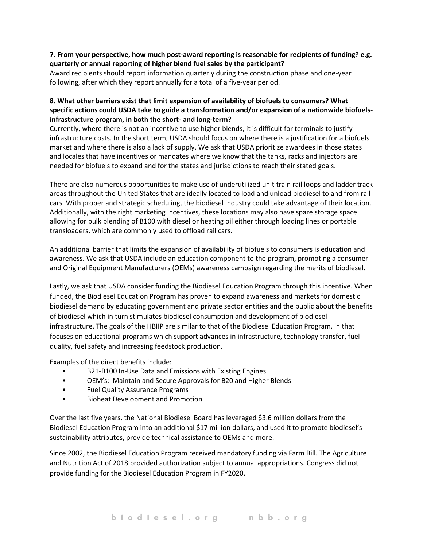#### **7. From your perspective, how much post-award reporting is reasonable for recipients of funding? e.g. quarterly or annual reporting of higher blend fuel sales by the participant?**

Award recipients should report information quarterly during the construction phase and one-year following, after which they report annually for a total of a five-year period.

#### **8. What other barriers exist that limit expansion of availability of biofuels to consumers? What specific actions could USDA take to guide a transformation and/or expansion of a nationwide biofuelsinfrastructure program, in both the short- and long-term?**

Currently, where there is not an incentive to use higher blends, it is difficult for terminals to justify infrastructure costs. In the short term, USDA should focus on where there is a justification for a biofuels market and where there is also a lack of supply. We ask that USDA prioritize awardees in those states and locales that have incentives or mandates where we know that the tanks, racks and injectors are needed for biofuels to expand and for the states and jurisdictions to reach their stated goals.

There are also numerous opportunities to make use of underutilized unit train rail loops and ladder track areas throughout the United States that are ideally located to load and unload biodiesel to and from rail cars. With proper and strategic scheduling, the biodiesel industry could take advantage of their location. Additionally, with the right marketing incentives, these locations may also have spare storage space allowing for bulk blending of B100 with diesel or heating oil either through loading lines or portable transloaders, which are commonly used to offload rail cars.

An additional barrier that limits the expansion of availability of biofuels to consumers is education and awareness. We ask that USDA include an education component to the program, promoting a consumer and Original Equipment Manufacturers (OEMs) awareness campaign regarding the merits of biodiesel.

Lastly, we ask that USDA consider funding the Biodiesel Education Program through this incentive. When funded, the Biodiesel Education Program has proven to expand awareness and markets for domestic biodiesel demand by educating government and private sector entities and the public about the benefits of biodiesel which in turn stimulates biodiesel consumption and development of biodiesel infrastructure. The goals of the HBIIP are similar to that of the Biodiesel Education Program, in that focuses on educational programs which support advances in infrastructure, technology transfer, fuel quality, fuel safety and increasing feedstock production.

Examples of the direct benefits include:

- B21-B100 In-Use Data and Emissions with Existing Engines
- OEM's: Maintain and Secure Approvals for B20 and Higher Blends
- Fuel Quality Assurance Programs
- Bioheat Development and Promotion

Over the last five years, the National Biodiesel Board has leveraged \$3.6 million dollars from the Biodiesel Education Program into an additional \$17 million dollars, and used it to promote biodiesel's sustainability attributes, provide technical assistance to OEMs and more.

Since 2002, the Biodiesel Education Program received mandatory funding via Farm Bill. The Agriculture and Nutrition Act of 2018 provided authorization subject to annual appropriations. Congress did not provide funding for the Biodiesel Education Program in FY2020.